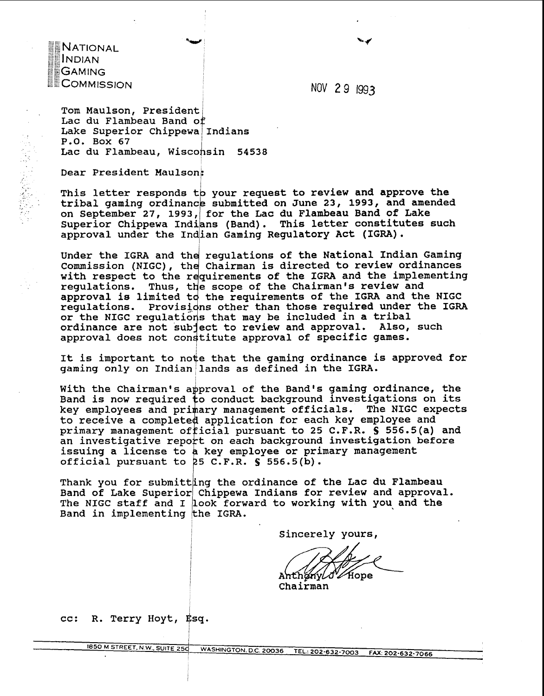**NATIONAL INDIAN GAMING COMMISSION** 

NOV 2 9 1993

Tom Maulson, President: Lac du Flambeau Band of Lake Superior Chippewa Indians P.O. Box 67 Lac du Flambeau. Wisconsin 54538

Dear President Maulson:

Example of Figure 111114115<br>
P.O. Box 67<br>
Lac du Flambeau, Wisconsin 54538<br>
Dear President Maulson:<br>
This letter responds to your request to review and approve the<br>
tribal gaming ordinance submitted on June 23, 1993, and a on September 27, 1993, for the Lac du Flambeau Band of Lake Superior Chippewa Indians (Band). This letter constitutes such approval under the Indian Gaming Regulatory Act (IGRA).

Under the IGRA and the regulations of the National Indian Gaming Commission (NIGC), the Chairman is directed to review ordinances with respect to the requirements of the IGRA and the implementing regulations. Thus, the scope of the Chairman's review and approval is limited to the requirements of the IGRA and the NIGC regulations. Provisions other than those required under the IGRA or the NIGC regulations that may be included in a tribal<br>ordinance are not subject to review and approval. Also, such ordinance are not subject to review and approval. approval does not constitute approval of specific games.

It is important to note that the gaming ordinance is approved for gaming only on Indian/lands as defined in the IGRA.

i

I

With the Chairman's approval of the Band's gaming ordinance, the Band is now required  $\frac{1}{10}$  conduct background investigations on its key employees and primary management officials. The NIGC expects to receive a completed application for each key employee and primary management of icial pursuant to 25 C.F.R. **S** 556.5(a) and an investigative report on each background investigation before issuing a license to a key employee or primary management official pursuant to 25 C.F.R. § 556.5(b).

Thank you for submitting the ordinance of the Lac du Flambeau Band of Lake Superior Chippewa Indians for review and approval. The NIGC staff and I look forward to working with you, and the Band in implementing the IGRA.

Sincerely yours,

'∠Hope Anthanylo

Chairman

cc: R. Terry Hoyt, Esq.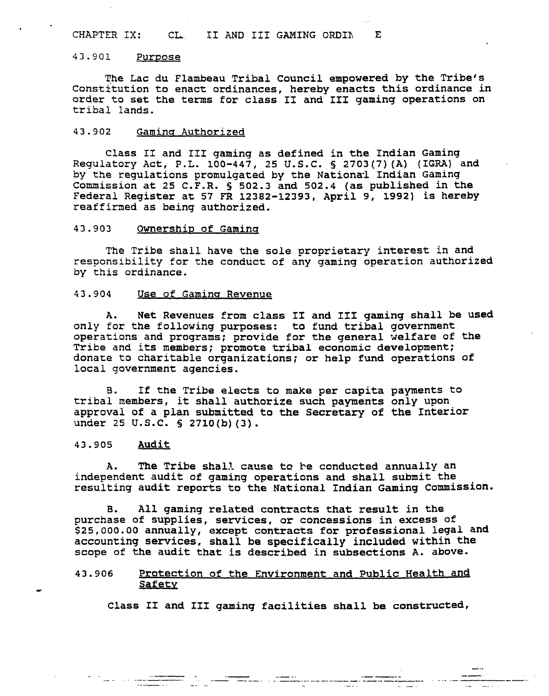## **CHAPTER IX: CL.** I1 **AND** I11 **GAMING ORDIh E**

#### 43.901 Purpose

**The Lac du Flambeau Tribal council empowered by the Tribe's Constitution to enact ordinances, hereby enacts this ordinance in order to set the terms for class I1 and 111 gaming operations on tribal lands.** 

## 43.902 Gaming Authorized

**Class I1 and I11 gaming as defined in the Indian Gaming Regulatory Act, P.L. 100-447, 25 U.S.C.** § **2703(7)(A) (IGRA) and**  by the regulations promulgated by the National Indian Gaming **Commission at 25 C.F.R.** § **502.3 and 502.4 (as published in the Federal Register at 57 FR 12382-12393, April 9, 1992) is hereby reaffirmed as being authorized.** 

# 43.903 Ownership of Gaming

**The Tribe shall have the sole proprietary interest in and responsibility for the conduct of any gaming operation authorized by this ordinance.** 

#### **43.904 Use of Gamina Revenue**

**A. Net Revenues from class I1 and I11 gaming shall be used only for the following purposes: to fund tribal government operations and programs; provide for the general welfare of the Tribe and its members; promote tribal economic development; donate to charitable organizations; or help fund operations of local government agencies.** 

**B. If the Tribe elects to make per capita payments to tribal members, it shall authorize such payments only upon**  approval of a plan submitted to the Secretary of the Interior **under 25 U.S.C. 5 2710(b) (3).** 

### **43.905 Audit**

**A. The Tribe shall cause to be conducted annually an independent audit of gaming operations and shall submit the**  resulting audit reports to the National Indian Gaming Commission.

**B. All gaming related contracts that result in the purchase of supplies, services, or concessions in excess of \$25,000.00 annually, except contracts for professional legal and accounting services, shall be specifically included within the scope of the audit that is described in subsections A. above.** 

### **43.906 Protection of the Environment and Public Health and**  - **Safety**

**Class XI and I11 gaming facilities shall be constructed,**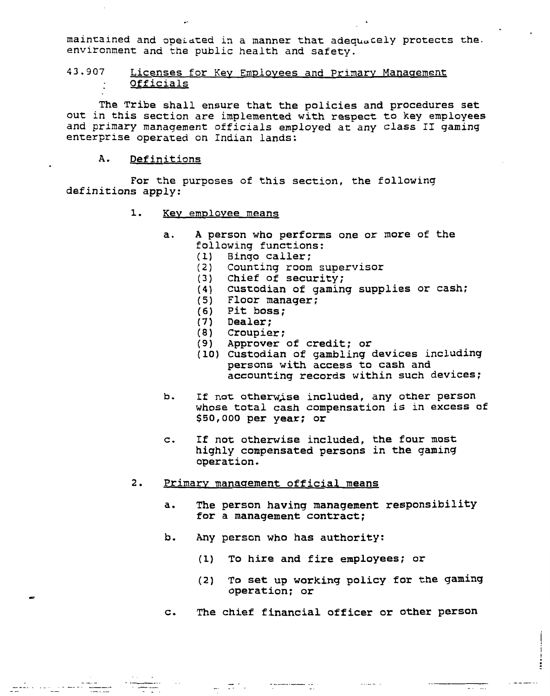maintained and opeiated in a manner that adequately protects the. environment and the public health and safety.

# 43.907 Licenses for Key Employees and Primary Management Officials

The Tribe shall ensure that the policies and procedures set out in this section are implemented with respect to key employees and primary management officials employed at any class **11** gaming enterprise operated on Indian lands:

#### **A.** Definitions

and a complete the complete state of the state of the state of the state of the state of the state of the state<br>The state of the state of the state of the state of the state of the state of the state of the state of the st

For the purposes of this section, the following definitions apply:

#### 1. Key employee means

- a. **A** person who performs one or more of the following functions:
	- (1) Binqo caller;
	- (2) Counting room supervisor
	- (3) Chief of security;
	- **(4)** Custodian of gaming supplies or cash;
	- (5) Floor manager;
	- (6) Pit boss;
	- (7) Dealer;
	- (8) Croupier;
	- (9) Approver of credit; or
	- (10) Custodian of gambling devices including persons with access to cash and accounting records within such devices;
- b. If not otherwise included, any other person whose total cash compensation is in excess of \$50,000 per year; or
- c. If not otherwise included, the four most highly compensated persons in the gaming operation.
- 2. Primary management official means
	- **a.** The person having management responsibility for a management contract;
	- b. Any person who has authority:

 $\mathcal{L}_{\text{max}}$  . The second contract of the second contract of the second contract of the second contract of the second contract of the second contract of the second contract of the second contract of the second contract o

- (1) To hire and fire employees; or
- **(2)** To set up working policy for the gaming operation; or

 $\sim 1.14\,$  m  $^{-1}$  .

 $\sim$  and  $\sim$ 

 $\overline{111}$ 

**c.** The chief financial officer or other person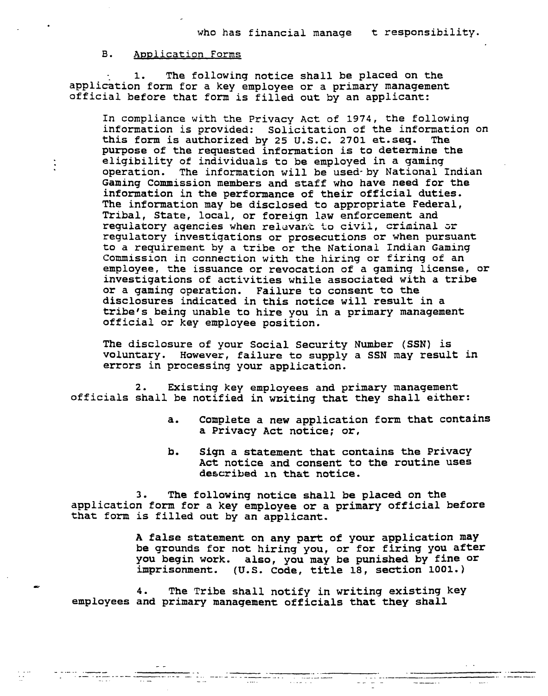## B. Application Forms

 $\ddot{\cdot}$ 

1. The following notice shall be placed on the application form for a key employee or a primary management official before that form is filled out by an applicant:

In compliance with the Privacy Act of 1974, the following information is provided: Solicitation of the information on this form is authorized by 25 U.S.C. 2701 et.seq. The purpose of the requested information is to determine the eligibility of individuals to be employed in a gaming operation. The information will be used-by National Indian Gaming Commission members and staff who have need for the information in the performance of their official duties. The information may be disclosed to appropriate Federal, Tribal, State, local, or foreign law enforcement and regulatory agencies when relevant to civil, criminal or regulatory investigations or prosecutions or when pursuant to a requirement by a tribe or the National Indian Gaming Commission in connection with the hiring or firing of an employee, the issuance or revocation of a gaming license, or investigations of activities while associated with a tribe or a gaming operation. Failure to consent to the disclosures indicated in this notice will result in a tribe's being unable to hire you in a primary management official or key employee position.

The disclosure of your Social Security Number (SSN) is voluntary. **However,** failure to supply a SSN may result in errors in processing your application.

2. Existing key employees and primary management officials shall be notified in writing that they shall either:

- **a.** Complete a new application form that contains a Privacy Act notice; or,
- b. Sign a statement that contains the Privacy Act notice and consent to the routine uses described in that notice.

3. The following notice shall be placed on the application form for a key employee or a primary official before that form is filled out by an applicant.

> A false statement on any part of your application may be grounds for not hiring you, or for firing you after you begin work. also, you may be punished by fine **or**  imprisonment. **(U.S.** Code, title 18, section **1001.)**

4. The Tribe shall notify in writing existing key employees and primary management officials that they shall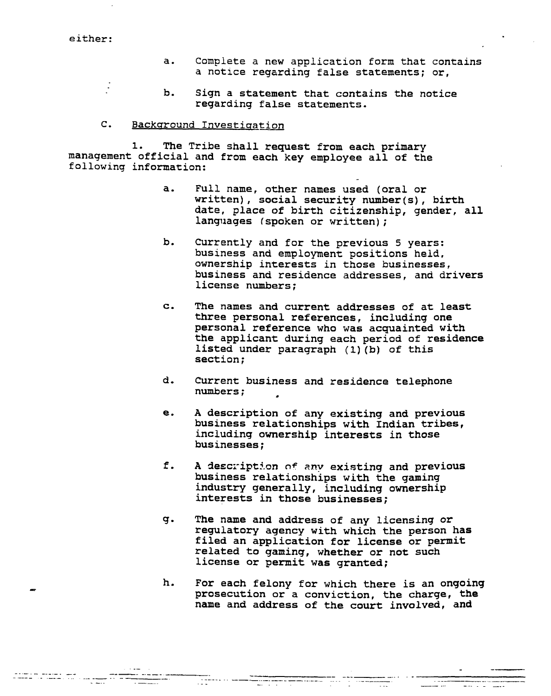**either:** 

 $\frac{1}{2}$ 

- **a. Complete a new application form that contains a notice regarding false statements; or,**
- **b. Sign a statement that contains the notice regarding false statements.**

# **C.** Background Investigation

**1. The Tribe shall request from each primary management official and from each key employee all of the following information:** 

- a. **Full name, other names used (oral or written)** , **social security number (s)** , **birth**  date, place of birth citizenship, gender, all<br>languages (spoken or written);
- **b. Currently and for the previous 5 years: business and employment positions held, ownership interests in those businesses, business and residence addresses, and drivers license numbers** ;
- **c. The names and current addresses of at least three personal references, including one personal reference who was acquainted with the applicant during each period of residence listed under paragraph (1) (b) of this section** ;
- **d. Current business and residence telephone numbers** ;
- **e. A description of any existing and previous business relationships with Indian tribes, including ownership interests in those businesses;**
- **f. A descl-iptian o\* zny existing and previous business relationships with the gaming industry generally, including ownership interests in those businesses;**
- **g. The name and address of** any **licensing or regulatory agency with which the person has filed an application for license or permit related to gaming, whether or not such license or permit was granted;**
- **h. For each felony for which there is an ongoing prosecution or a conviction, the charge, the name and address of the court involved, and**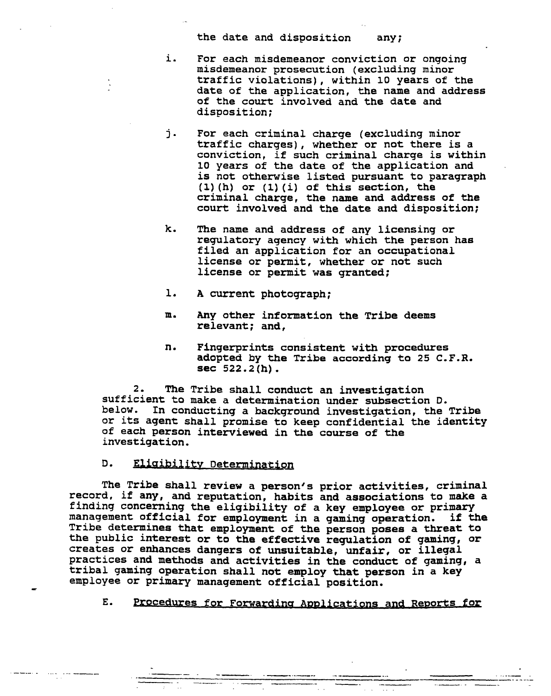**the date and disposition**  any;

- **i. For each misdemeanor conviction or ongoing misdemeanor prosecution (excluding minor traffic violations), within 10 years of the date of the application, the name and address of the court involved and the date and disposition;**
- **j. For each criminal charge (excluding minor traffic charges), whether or not there is a conviction, if such criminal charge is within 10 years of the date of the application and is not otherwise listed pursuant to paragraph (1) (h) or (1) (i) of this section, the criminal charge, the name and address of the court involved and the date and disposition;**
- **k. The name and address of any licensing or regulatory agency with which the person has filed an application for an occupational license or permit, whether or not such license or permit was granted;**
- **1. A current photograph;**
- **ma Any other information the Tribe deems relevant; and,**
- **n. Fingerprints consistent with procedures adopted by the Tribe according to 25 C.F.R. sec 522.2 (h)** .

**2. The Tribe shall conduct an investigation sufficient to make a determination under subsection D. below. In conducting a background investigation, the Tribe or its agent shall promise to keep confidential the identity of each person interviewed in the course of the investigation.** 

D. Eligibility Determination

**e** 

**The Tribe shall review a person's prior activities, criminal record, if any, and reputation, habits and associations to make a finding concerning the eligibility of a key employee or primary management official for employment in a gaming operation. if the Tribe determines that employment of the person poses a threat to the public interest or to the effective regulation of gaming, or creates or enhances dangers of unsuitable, unfair, or illegal practices and methods and activities in the conduct of gaming, a tribal gaming operation shall not employ that person in a key employee or primary management official position.** 

E. Procedures for Forwarding Applications and Reports for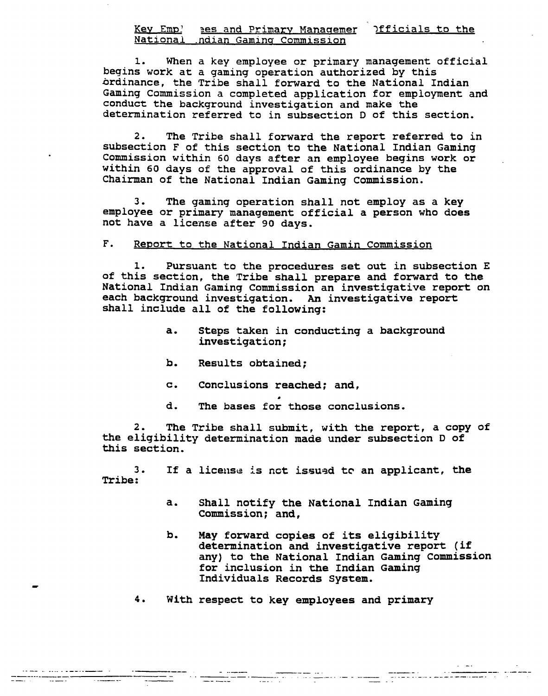### Key Emp! aes and Primary Managemer **Ifficials to the National -ndian Gamins Commission**

**1. When a key employee or primary management official begins work at a gaming operation authorized by this brdinance, the Tribe shall forward to the National Indian Gaming Commission a completed application for employment and conduct the background investigation and make the determination referred to in subsection D of this section.** 

**2. The Tribe shall forward the report referred to in**  subsection F of this section to the National Indian Gaming **Commission within 60 days after an employee begins work or within 60 days of the approval of this ordinance by the**  Chairman of the National Indian Gaming Commission.

**3. The gaming operation shall not employ as a key employee or primary management official a person who does not have a license after 90 days.** 

#### $F<sub>1</sub>$ **Report to the National Indian Gamin Commission**

**1. Pursuant to the procedures set out in subsection E of this section, the Tribe shall prepare and forward to the National Indian Gaming Commission an investigative report on each background investigation. An investigative report shall include all of the following:** 

- **a. Steps taken in conducting a background investigation;**
- **b. Results obtained;**
- **c. Conclusions reached; and,**
- **d. The bases for those conclusions.**

**2. The Tribe shall submit, with the report, a copy of the eligibility determination made under subsection D of this section.** 

**3 If a license is net issued tc an applicant, the Tribe:** 

- **a. Shall notify the National Indian Gaming Commission; and,**
- **b. May forward copies of its eligibility determination and investigative report** ( **if any) to the National Indian Gaming commission for inclusion in the Indian Gaming Individuals Records System.**

matematica construction de la component de la component de la construction de la construction de la construction<br>La construction de la construction de la construction de la construction de la construction de la constructio

**4. With respect to key employees and primary** 

===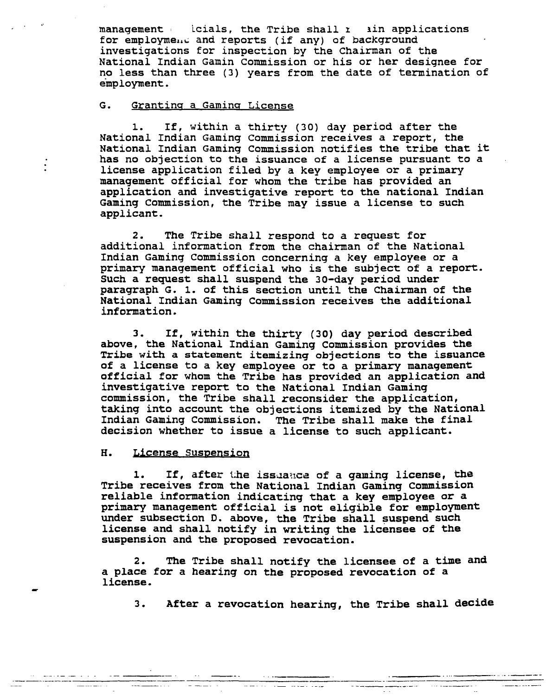**management** 1 **icials, the Tribe shall** r **3in applications**  for employme... and reports (if any) of background **investigations for inspection by the Chairman of the National Indian Gamin Commission or his or her designee for no less than three (3) years from the date of termination of employment.** 

## G. Granting a Gaming License

**1. If, within a thirty (30) day period after the National Indian Gaming Commission receives a report, the National Indian Gaming Commission notifies the tribe that it has no objection to the issuance of a license pursuant to a license application filed by a key employee or a primary management official for whom the tribe has provided an application and investigative report to the national Indian Gaming Commission, the Tribe may issue a license to such applicant.** 

**2. The Tribe shall respond to a request for additional information from the chairman of the National Indian Gaming Commission concerning a key employee or a primary management official who is the subject of a report. Such a request shall suspend the 30-day period under paragraph G. 1. of this section until the Chairman of the National Indian Gaming Commission receives the additional information.** 

**3. If, within the thirty (30) day period described above, the National Indian Gaming Commission provides the Tribe with a statement itemizing objections to the issuance of a license to a key employee or to a primary management official for whom the Tribe has provided an application and investigative report to the National Indian Gaming commission, the Tribe shall reconsider the application, taking into account the objections itemized by the National Indian Gaming Commission. The Tribe shall make the final decision whether to issue a license to such applicant.** 

#### H. License Suspension

**1.** If, after the issuance of a gaming license, the Tribe receives from the National Indian Gaming Commission **reliable information indicating that a key employee or a primary management official is not eligible for employment under subsection D. above, the Tribe shall suspend such license and shall notify in writing the licensee of the suspension and the proposed revocation.** 

**2. The Tribe shall notify the licensee of a time and a place for a hearing on the proposed revocation of a license.** 

**3. After a revocation hearing, the Tribe shall decide** 

\_\_\_\_\_\_\_\_\_\_\_\_\_\_\_\_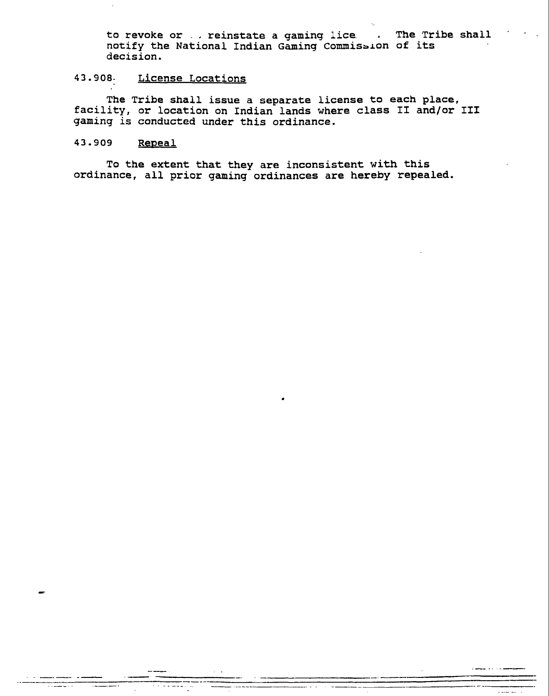to revoke or ... reinstate a gaming lice. . The Tribe shall notify the National Indian Gaming Commission of its **decision.** 

# **43.908- License Locations**

**The Tribe shall issue a separate license to each place, facility, or location on Indian lands where class I1 and/or 111 gaming is conducted under this ordinance.** 

#### 43.909 Repeal

**To the extent that they are inconsistent with this ordinance, all prior gaming ordinances are hereby repealed.**